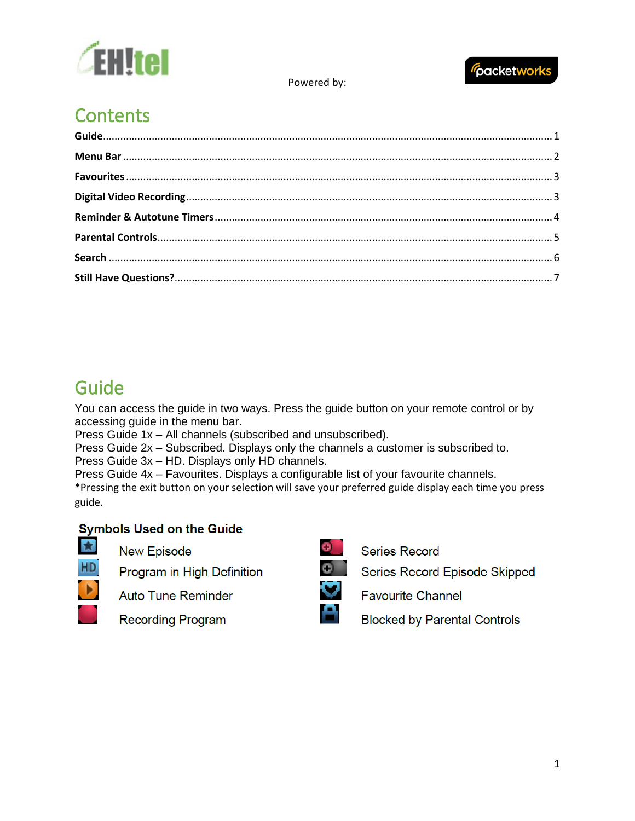



# **Contents**

# <span id="page-0-0"></span>Guide

You can access the guide in two ways. Press the guide button on your remote control or by accessing guide in the menu bar.

Press Guide 1x – All channels (subscribed and unsubscribed).

Press Guide 2x – Subscribed. Displays only the channels a customer is subscribed to.

Press Guide 3x – HD. Displays only HD channels.

Press Guide 4x – Favourites. Displays a configurable list of your favourite channels.

\*Pressing the exit button on your selection will save your preferred guide display each time you press guide.

# **Symbols Used on the Guide**

**New Episode** 

Program in High Definition



S,

**Auto Tune Reminder** 

**Recording Program** 



**Series Record** 

Series Record Episode Skipped

**Favourite Channel** 

**Blocked by Parental Controls**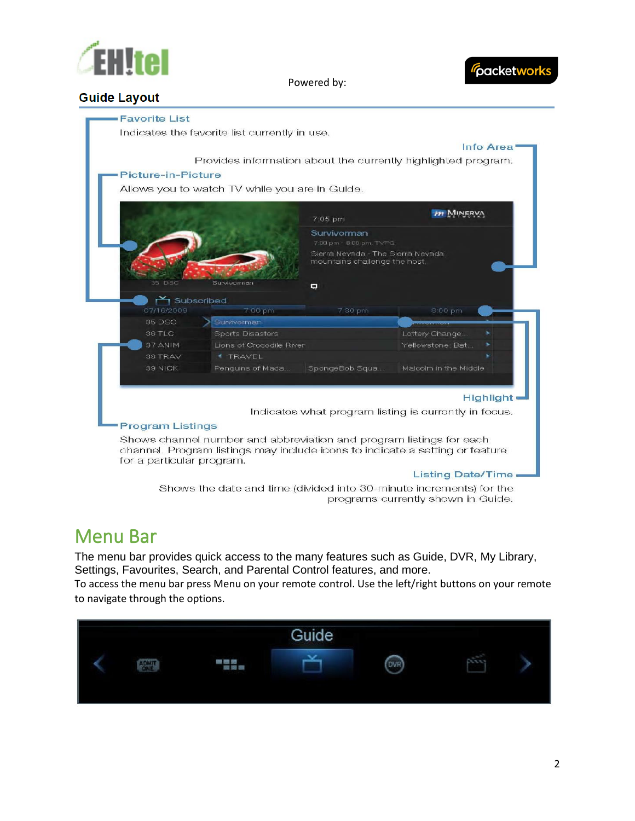



# **Guide Layout**



Shows the date and time (divided into 30-minute increments) for the programs currently shown in Guide.

# <span id="page-1-0"></span>Menu Bar

The menu bar provides quick access to the many features such as Guide, DVR, My Library, Settings, Favourites, Search, and Parental Control features, and more.

To access the menu bar press Menu on your remote control. Use the left/right buttons on your remote to navigate through the options.

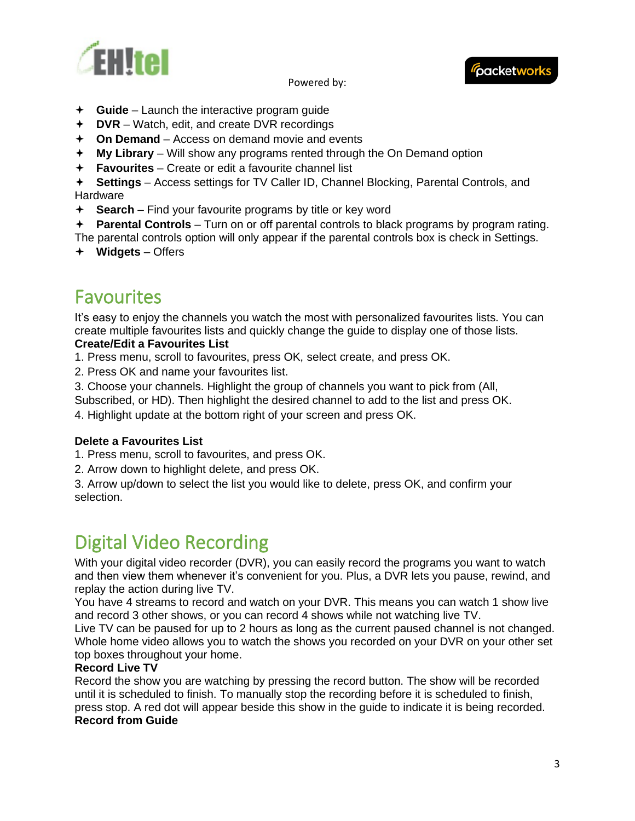



- **Guide**  Launch the interactive program guide
- **DVR**  Watch, edit, and create DVR recordings
- **On Demand**  Access on demand movie and events
- **My Library**  Will show any programs rented through the On Demand option
- **Favourites**  Create or edit a favourite channel list

 **Settings** – Access settings for TV Caller ID, Channel Blocking, Parental Controls, and Hardware

- **Search**  Find your favourite programs by title or key word
- **Parental Controls**  Turn on or off parental controls to black programs by program rating.

The parental controls option will only appear if the parental controls box is check in Settings.

**Widgets** – Offers

# <span id="page-2-0"></span>Favourites

It's easy to enjoy the channels you watch the most with personalized favourites lists. You can create multiple favourites lists and quickly change the guide to display one of those lists. **Create/Edit a Favourites List** 

- 1. Press menu, scroll to favourites, press OK, select create, and press OK.
- 2. Press OK and name your favourites list.
- 3. Choose your channels. Highlight the group of channels you want to pick from (All,

Subscribed, or HD). Then highlight the desired channel to add to the list and press OK.

4. Highlight update at the bottom right of your screen and press OK.

# **Delete a Favourites List**

- 1. Press menu, scroll to favourites, and press OK.
- 2. Arrow down to highlight delete, and press OK.

3. Arrow up/down to select the list you would like to delete, press OK, and confirm your selection.

# <span id="page-2-1"></span>Digital Video Recording

With your digital video recorder (DVR), you can easily record the programs you want to watch and then view them whenever it's convenient for you. Plus, a DVR lets you pause, rewind, and replay the action during live TV.

You have 4 streams to record and watch on your DVR. This means you can watch 1 show live and record 3 other shows, or you can record 4 shows while not watching live TV.

Live TV can be paused for up to 2 hours as long as the current paused channel is not changed. Whole home video allows you to watch the shows you recorded on your DVR on your other set top boxes throughout your home.

### **Record Live TV**

Record the show you are watching by pressing the record button. The show will be recorded until it is scheduled to finish. To manually stop the recording before it is scheduled to finish, press stop. A red dot will appear beside this show in the guide to indicate it is being recorded. **Record from Guide**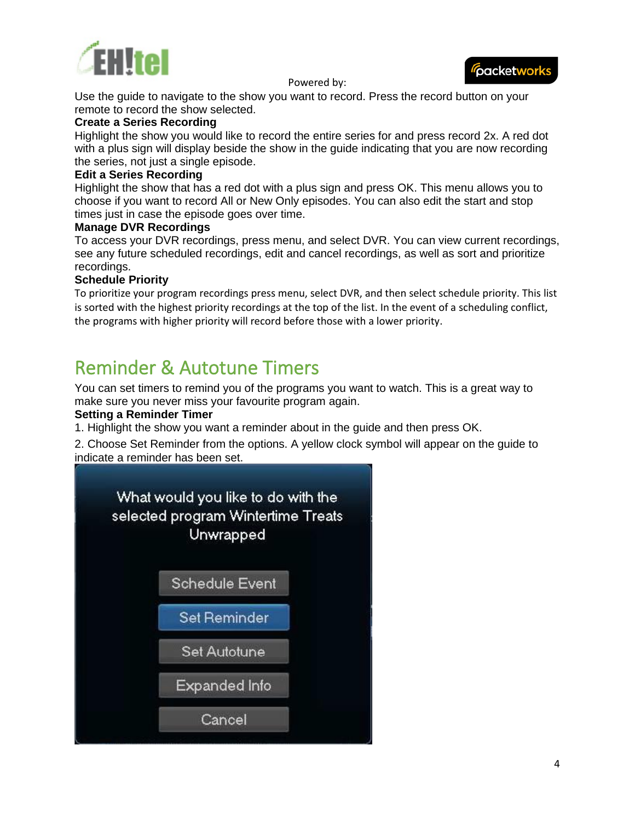

packetworks

Use the guide to navigate to the show you want to record. Press the record button on your remote to record the show selected.

### **Create a Series Recording**

Highlight the show you would like to record the entire series for and press record 2x. A red dot with a plus sign will display beside the show in the guide indicating that you are now recording the series, not just a single episode.

### **Edit a Series Recording**

Highlight the show that has a red dot with a plus sign and press OK. This menu allows you to choose if you want to record All or New Only episodes. You can also edit the start and stop times just in case the episode goes over time.

### **Manage DVR Recordings**

To access your DVR recordings, press menu, and select DVR. You can view current recordings, see any future scheduled recordings, edit and cancel recordings, as well as sort and prioritize recordings.

# **Schedule Priority**

To prioritize your program recordings press menu, select DVR, and then select schedule priority. This list is sorted with the highest priority recordings at the top of the list. In the event of a scheduling conflict, the programs with higher priority will record before those with a lower priority.

# <span id="page-3-0"></span>Reminder & Autotune Timers

You can set timers to remind you of the programs you want to watch. This is a great way to make sure you never miss your favourite program again.

### **Setting a Reminder Timer**

1. Highlight the show you want a reminder about in the guide and then press OK.

2. Choose Set Reminder from the options. A yellow clock symbol will appear on the guide to indicate a reminder has been set.

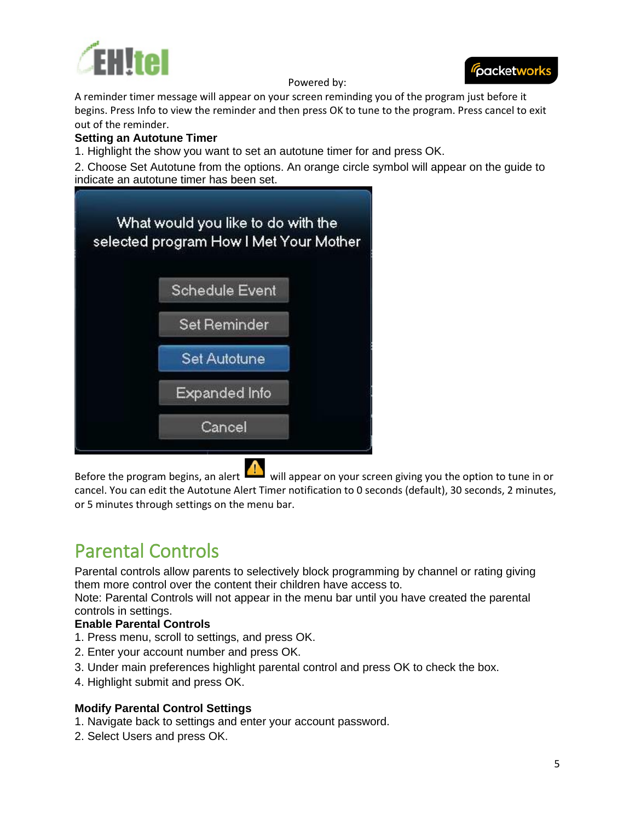



A reminder timer message will appear on your screen reminding you of the program just before it begins. Press Info to view the reminder and then press OK to tune to the program. Press cancel to exit out of the reminder.

### **Setting an Autotune Timer**

1. Highlight the show you want to set an autotune timer for and press OK.

2. Choose Set Autotune from the options. An orange circle symbol will appear on the guide to indicate an autotune timer has been set.



Before the program begins, an alert  $\frac{1}{\sqrt{2}}$  will appear on your screen giving you the option to tune in or cancel. You can edit the Autotune Alert Timer notification to 0 seconds (default), 30 seconds, 2 minutes, or 5 minutes through settings on the menu bar.

# <span id="page-4-0"></span>Parental Controls

Parental controls allow parents to selectively block programming by channel or rating giving them more control over the content their children have access to.

Note: Parental Controls will not appear in the menu bar until you have created the parental controls in settings.

# **Enable Parental Controls**

- 1. Press menu, scroll to settings, and press OK.
- 2. Enter your account number and press OK.
- 3. Under main preferences highlight parental control and press OK to check the box.
- 4. Highlight submit and press OK.

# **Modify Parental Control Settings**

- 1. Navigate back to settings and enter your account password.
- 2. Select Users and press OK.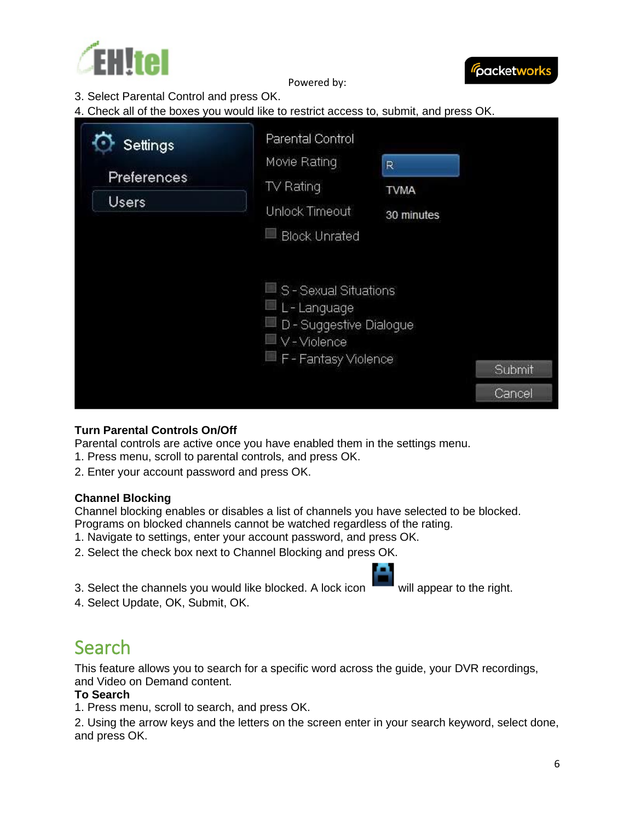



3. Select Parental Control and press OK.

4. Check all of the boxes you would like to restrict access to, submit, and press OK.

| Settings                    | Parental Control                                                                                                                             |                                |                  |
|-----------------------------|----------------------------------------------------------------------------------------------------------------------------------------------|--------------------------------|------------------|
| Preferences<br><b>Users</b> | Movie Rating<br>TV Rating<br>Unlock Timeout                                                                                                  | R<br><b>TVMA</b><br>30 minutes |                  |
|                             | <b>Block Unrated</b><br>$\Box$ S - Sexual Situations<br>$\Box$ L-Language<br>D - Suggestive Dialogue<br>V - Violence<br>F - Fantasy Violence |                                | Submit<br>Cancel |

# **Turn Parental Controls On/Off**

Parental controls are active once you have enabled them in the settings menu.

- 1. Press menu, scroll to parental controls, and press OK.
- 2. Enter your account password and press OK.

#### **Channel Blocking**

Channel blocking enables or disables a list of channels you have selected to be blocked. Programs on blocked channels cannot be watched regardless of the rating.

- 1. Navigate to settings, enter your account password, and press OK.
- 2. Select the check box next to Channel Blocking and press OK.
- 3. Select the channels you would like blocked. A lock icon will appear to the right.
- 4. Select Update, OK, Submit, OK.

# <span id="page-5-0"></span>Search

This feature allows you to search for a specific word across the guide, your DVR recordings, and Video on Demand content.

# **To Search**

1. Press menu, scroll to search, and press OK.

2. Using the arrow keys and the letters on the screen enter in your search keyword, select done, and press OK.